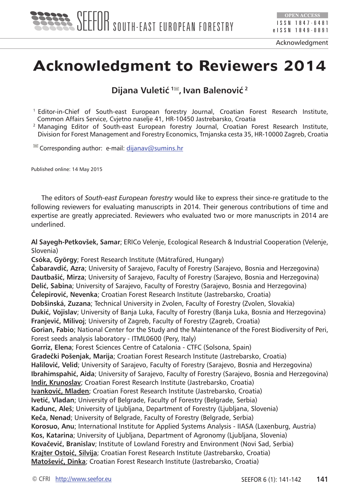

Acknowledgment

## **Acknowledgment to Reviewers 2014**

**Dijana Vuletić<sup>1</sup> , Ivan Balenović<sup>2</sup>**

<sup>1</sup> Editor-in-Chief of South-east European forestry Journal, Croatian Forest Research Institute, Common Affairs Service, Cvjetno naselje 41, HR-10450 Jastrebarsko, Croatia

<sup>2</sup> Managing Editor of South-east European forestry Journal, Croatian Forest Research Institute, Division for Forest Management and Forestry Economics, Trnjanska cesta 35, HR-10000 Zagreb, Croatia

 $\blacksquare$  Corresponding author: e-mail: [dijanav@sumins.hr](mailto:dijanav@sumins.hr)

Published online: 14 May 2015

The editors of *South-east European forestry* would like to express their since-re gratitude to the following reviewers for evaluating manuscripts in 2014. Their generous contributions of time and expertise are greatly appreciated. Reviewers who evaluated two or more manuscripts in 2014 are underlined.

**Al Sayegh-Petkovšek, Samar**; ERICo Velenje, Ecological Research & Industrial Cooperation (Velenje, Slovenia)

**Csóka, György**; Forest Research Institute (Mátrafüred, Hungary)

**Čabaravdić, Azra**; University of Sarajevo, Faculty of Forestry (Sarajevo, Bosnia and Herzegovina) **Dautbašić, Mirza**; University of Sarajevo, Faculty of Forestry (Sarajevo, Bosnia and Herzegovina) **Delić, Sabina**; University of Sarajevo, Faculty of Forestry (Sarajevo, Bosnia and Herzegovina) **Čelepirović, Nevenka**; Croatian Forest Research Institute (Jastrebarsko, Croatia) **Dobšinská, Zuzana**; Technical University in Zvolen, Faculty of Forestry (Zvolen, Slovakia) **Dukić, Vojislav**; University of Banja Luka, Faculty of Forestry (Banja Luka, Bosnia and Herzegovina) **Franjević, Milivoj**; University of Zagreb, Faculty of Forestry (Zagreb, Croatia) **Gorian, Fabio**; National Center for the Study and the Maintenance of the Forest Biodiversity of Peri, Forest seeds analysis laboratory - ITML0600 (Pery, Italy) **Gorriz, Elena**; Forest Sciences Centre of Catalonia - CTFC (Solsona, Spain) **Gradečki Pošenjak, Marija**; Croatian Forest Research Institute (Jastrebarsko, Croatia) **Halilović, Velid**; University of Sarajevo, Faculty of Forestry (Sarajevo, Bosnia and Herzegovina) **Ibrahimspahić, Aida**; University of Sarajevo, Faculty of Forestry (Sarajevo, Bosnia and Herzegovina) **Indir, Krunoslav**; Croatian Forest Research Institute (Jastrebarsko, Croatia) **Ivanković, Mladen**; Croatian Forest Research Institute (Jastrebarsko, Croatia) **Ivetić, Vladan**; University of Belgrade, Faculty of Forestry (Belgrade, Serbia) **Kadunc, Aleš**; University of Ljubljana, Department of Forestry (Ljubljana, Slovenia) **Keča, Nenad**; University of Belgrade, Faculty of Forestry (Belgrade, Serbia) **Korosuo, Anu**; International Institute for Applied Systems Analysis - IIASA (Laxenburg, Austria) **Kos, Katarina**; University of Ljubljana, Department of Agronomy (Ljubljana, Slovenia) **Kovačević, Branislav**; Institute of Lowland Forestry and Environment (Novi Sad, Serbia) **Krajter Ostoić, Silvija**; Croatian Forest Research Institute (Jastrebarsko, Croatia) **Matošević, Dinka**; Croatian Forest Research Institute (Jastrebarsko, Croatia)